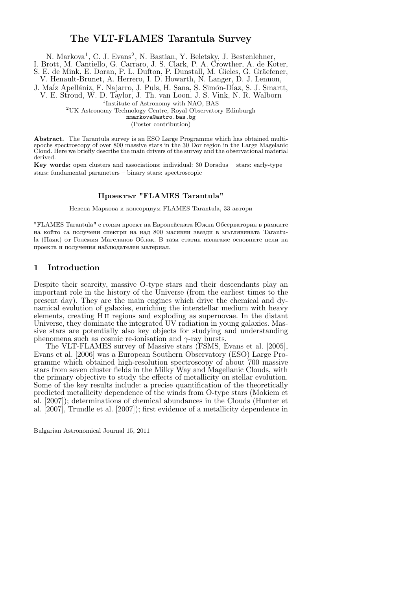# The VLT-FLAMES Tarantula Survey

N. Markova<sup>1</sup>, C. J. Evans<sup>2</sup>, N. Bastian, Y. Beletsky, J. Bestenlehner,

I. Brott, M. Cantiello, G. Carraro, J. S. Clark, P. A. Crowther, A. de Koter,

S. E. de Mink, E. Doran, P. L. Dufton, P. Dunstall, M. Gieles, G. Gräefener,

V. Henault-Brunet, A. Herrero, I. D. Howarth, N. Langer, D. J. Lennon,

J. Maíz Apellániz, F. Najarro, J. Puls, H. Sana, S. Simón-Díaz, S. J. Smartt, V. E. Stroud, W. D. Taylor, J. Th. van Loon, J. S. Vink, N. R. Walborn

<sup>1</sup>Institute of Astronomy with NAO, BAS

<sup>2</sup>UK Astronomy Technology Centre, Royal Observatory Edinburgh

nmarkova@astro.bas.bg

(Poster contribution)

Abstract. The Tarantula survey is an ESO Large Programme which has obtained multiepochs spectroscopy of over 800 massive stars in the 30 Dor region in the Large Magelanic Cloud. Here we briefly describe the main drivers of the survey and the observational material derived.

Key words: open clusters and associations: individual: 30 Doradus – stars: early-type – stars: fundamental parameters – binary stars: spectroscopic

# Проектът "FLAMES Tarantula"

Невена Маркова и консорциум FLAMES Tarantula, 33 автори

"FLAMES Tarantula" е голям проект на Европейската Южна Обсерватория в рамките на който са получени спектри на над 800 масивни звезди в мъглявината Tarantula (Паяк) от Големия Магеланов Облак. В тази статия излагаме основните цели на проекта и получения наблюдателен материал.

# 1 Introduction

Despite their scarcity, massive O-type stars and their descendants play an important role in the history of the Universe (from the earliest times to the present day). They are the main engines which drive the chemical and dynamical evolution of galaxies, enriching the interstellar medium with heavy elements, creating H ii regions and exploding as supernovae. In the distant Universe, they dominate the integrated UV radiation in young galaxies. Massive stars are potentially also key objects for studying and understanding phenomena such as cosmic re-ionisation and  $\gamma$ -ray bursts.

The VLT-FLAMES survey of Massive stars (FSMS, Evans et al. [2005], Evans et al. [2006] was a European Southern Observatory (ESO) Large Programme which obtained high-resolution spectroscopy of about 700 massive stars from seven cluster fields in the Milky Way and Magellanic Clouds, with the primary objective to study the effects of metallicity on stellar evolution. Some of the key results include: a precise quantification of the theoretically predicted metallicity dependence of the winds from O-type stars (Mokiem et al. [2007]); determinations of chemical abundances in the Clouds (Hunter et al. [2007], Trundle et al. [2007]); first evidence of a metallicity dependence in

Bulgarian Astronomical Journal 15, 2011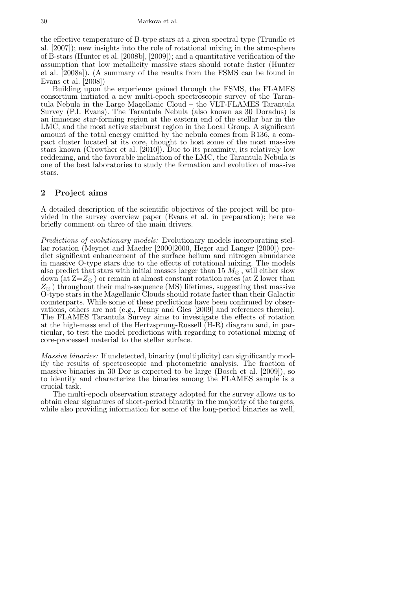the effective temperature of B-type stars at a given spectral type (Trundle et al. [2007]); new insights into the role of rotational mixing in the atmosphere of B-stars (Hunter et al. [2008b], [2009]); and a quantitative verification of the assumption that low metallicity massive stars should rotate faster (Hunter et al. [2008a]). (A summary of the results from the FSMS can be found in Evans et al.  $\left[2008\right]$ 

Building upon the experience gained through the FSMS, the FLAMES consortium initiated a new multi-epoch spectroscopic survey of the Tarantula Nebula in the Large Magellanic Cloud – the VLT-FLAMES Tarantula Survey (P.I. Evans). The Tarantula Nebula (also known as 30 Doradus) is an immense star-forming region at the eastern end of the stellar bar in the LMC, and the most active starburst region in the Local Group. A significant amount of the total energy emitted by the nebula comes from R136, a compact cluster located at its core, thought to host some of the most massive stars known (Crowther et al. [2010]). Due to its proximity, its relatively low reddening, and the favorable inclination of the LMC, the Tarantula Nebula is one of the best laboratories to study the formation and evolution of massive stars.

## 2 Project aims

A detailed description of the scientific objectives of the project will be provided in the survey overview paper (Evans et al. in preparation); here we briefly comment on three of the main drivers.

Predictions of evolutionary models: Evolutionary models incorporating stellar rotation (Meynet and Maeder [2000]2000, Heger and Langer [2000]) predict significant enhancement of the surface helium and nitrogen abundance in massive O-type stars due to the effects of rotational mixing. The models also predict that stars with initial masses larger than 15  $M_{\odot}$ , will either slow down (at  $Z=Z_{\odot}$ ) or remain at almost constant rotation rates (at Z lower than  $Z_{\odot}$ ) throughout their main-sequence (MS) lifetimes, suggesting that massive O-type stars in the Magellanic Clouds should rotate faster than their Galactic counterparts. While some of these predictions have been confirmed by observations, others are not (e.g., Penny and Gies [2009] and references therein). The FLAMES Tarantula Survey aims to investigate the effects of rotation at the high-mass end of the Hertzsprung-Russell (H-R) diagram and, in particular, to test the model predictions with regarding to rotational mixing of core-processed material to the stellar surface.

Massive binaries: If undetected, binarity (multiplicity) can significantly modify the results of spectroscopic and photometric analysis. The fraction of massive binaries in 30 Dor is expected to be large (Bosch et al. [2009]), so to identify and characterize the binaries among the FLAMES sample is a crucial task.

The multi-epoch observation strategy adopted for the survey allows us to obtain clear signatures of short-period binarity in the majority of the targets, while also providing information for some of the long-period binaries as well,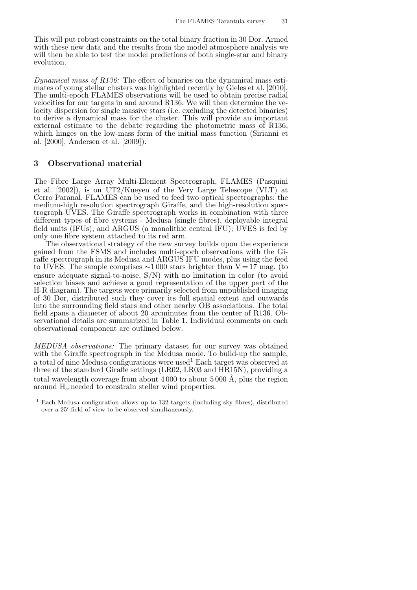This will put robust constraints on the total binary fraction in 30 Dor. Armed with these new data and the results from the model atmosphere analysis we will then be able to test the model predictions of both single-star and binary evolution.

Dynamical mass of  $R136$ : The effect of binaries on the dynamical mass estimates of young stellar clusters was highlighted recently by Gieles et al. [2010]. The multi-epoch FLAMES observations will be used to obtain precise radial velocities for our targets in and around R136. We will then determine the velocity dispersion for single massive stars (i.e. excluding the detected binaries) to derive a dynamical mass for the cluster. This will provide an important external estimate to the debate regarding the photometric mass of R136, which hinges on the low-mass form of the initial mass function (Sirianni et al. [2000], Andersen et al. [2009]).

#### 3 Observational material

The Fibre Large Array Multi-Element Spectrograph, FLAMES (Pasquini et al. [2002]), is on UT2/Kueyen of the Very Large Telescope (VLT) at Cerro Paranal. FLAMES can be used to feed two optical spectrographs: the medium-high resolution spectrograph Giraffe, and the high-resolution spectrograph UVES. The Giraffe spectrograph works in combination with three different types of fibre systems - Medusa (single fibres), deployable integral field units (IFUs), and ARGUS (a monolithic central IFU); UVES is fed by only one fibre system attached to its red arm.

The observational strategy of the new survey builds upon the experience gained from the FSMS and includes multi-epoch observations with the Giraffe spectrograph in its Medusa and ARGUS IFU modes, plus using the feed to UVES. The sample comprises  $\sim$ 1 000 stars brighter than V = 17 mag. (to ensure adequate signal-to-noise, S/N) with no limitation in color (to avoid selection biases and achieve a good representation of the upper part of the H-R diagram). The targets were primarily selected from unpublished imaging of 30 Dor, distributed such they cover its full spatial extent and outwards into the surrounding field stars and other nearby OB associations. The total field spans a diameter of about 20 arcminutes from the center of R136. Observational details are summarized in Table 1. Individual comments on each observational component are outlined below.

MEDUSA observations: The primary dataset for our survey was obtained with the Giraffe spectrograph in the Medusa mode. To build-up the sample, a total of nine Medusa configurations were used<sup>1</sup> Each target was observed at three of the standard Giraffe settings (LR02, LR03 and HR15N), providing a total wavelength coverage from about  $4000$  to about  $5000 \text{ Å}$ , plus the region around  $H_{\alpha}$  needed to constrain stellar wind properties.

<sup>1</sup> Each Medusa configuration allows up to 132 targets (including sky fibres), distributed over a 25′ field-of-view to be observed simultaneously.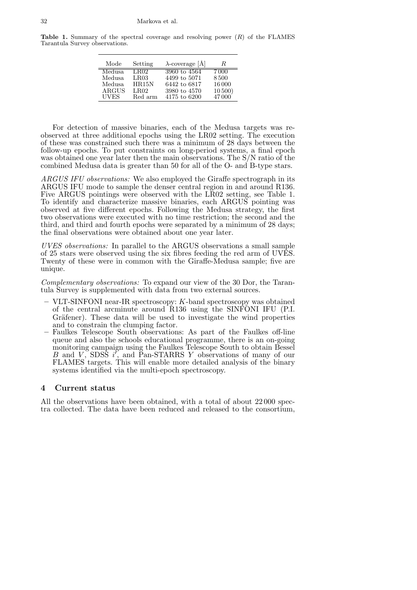**Table 1.** Summary of the spectral coverage and resolving power  $(R)$  of the FLAMES Tarantula Survey observations.

| Mode         | Setting | $\lambda$ -coverage [Å] | R          |
|--------------|---------|-------------------------|------------|
| Medusa.      | LB02.   | 3960 to 4564            | 7 000      |
| Medusa       | LR03    | 4499 to 5071            | 8500       |
| Medusa       | HR15N   | 6442 to 6817            | 16000      |
| <b>ARGUS</b> | LR02    | 3980 to 4570            | $10\,500)$ |
| UVES         | Red arm | 4175 to 6200            | 47000      |

For detection of massive binaries, each of the Medusa targets was reobserved at three additional epochs using the LR02 setting. The execution of these was constrained such there was a minimum of 28 days between the follow-up epochs. To put constraints on long-period systems, a final epoch was obtained one year later then the main observations. The S/N ratio of the combined Medusa data is greater than 50 for all of the O- and B-type stars.

ARGUS IFU observations: We also employed the Giraffe spectrograph in its ARGUS IFU mode to sample the denser central region in and around R136. Five ARGUS pointings were observed with the LR02 setting, see Table 1. To identify and characterize massive binaries, each ARGUS pointing was observed at five different epochs. Following the Medusa strategy, the first two observations were executed with no time restriction; the second and the third, and third and fourth epochs were separated by a minimum of 28 days; the final observations were obtained about one year later.

UVES observations: In parallel to the ARGUS observations a small sample of 25 stars were observed using the six fibres feeding the red arm of UVES. Twenty of these were in common with the Giraffe-Medusa sample; five are unique.

Complementary observations: To expand our view of the 30 Dor, the Tarantula Survey is supplemented with data from two external sources.

- VLT-SINFONI near-IR spectroscopy: K-band spectroscopy was obtained of the central arcminute around R136 using the SINFONI IFU (P.I. Gräfener). These data will be used to investigate the wind properties and to constrain the clumping factor.
- Faulkes Telescope South observations: As part of the Faulkes off-line queue and also the schools educational programme, there is an on-going monitoring campaign using the Faulkes Telescope South to obtain Bessel  $\overline{B}$  and  $\overline{V}$ , SDSS  $\overline{i'}$ , and Pan-STARRS Y observations of many of our FLAMES targets. This will enable more detailed analysis of the binary systems identified via the multi-epoch spectroscopy.

#### 4 Current status

All the observations have been obtained, with a total of about 22 000 spectra collected. The data have been reduced and released to the consortium,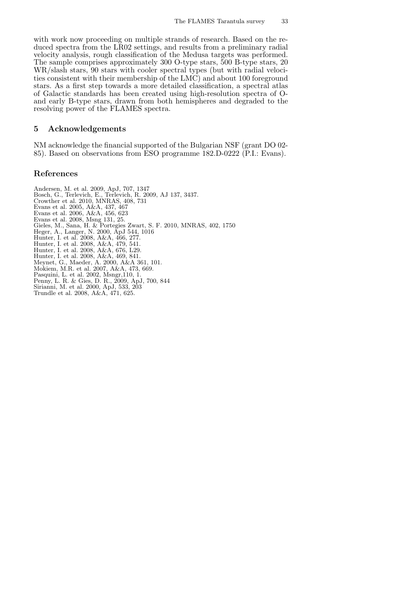with work now proceeding on multiple strands of research. Based on the reduced spectra from the LR02 settings, and results from a preliminary radial velocity analysis, rough classification of the Medusa targets was performed. The sample comprises approximately 300 O-type stars, 500 B-type stars, 20 WR/slash stars, 90 stars with cooler spectral types (but with radial velocities consistent with their membership of the LMC) and about 100 foreground stars. As a first step towards a more detailed classification, a spectral atlas of Galactic standards has been created using high-resolution spectra of Oand early B-type stars, drawn from both hemispheres and degraded to the resolving power of the FLAMES spectra.

## 5 Acknowledgements

NM acknowledge the financial supported of the Bulgarian NSF (grant DO 02- 85). Based on observations from ESO programme 182.D-0222 (P.I.: Evans).

#### References

Andersen, M. et al. 2009, ApJ, 707, 1347 Bosch, G., Terlevich, E., Terlevich, R. 2009, AJ 137, 3437. Crowther et al. 2010, MNRAS, 408, 731 Evans et al. 2005, A&A, 437, 467 Evans et al. 2006, A&A, 456, 623 Evans et al. 2008, Msng 131, 25. Gieles, M., Sana, H. & Portegies Zwart, S. F. 2010, MNRAS, 402, 1750 Heger, A., Langer, N. 2000, ApJ 544, 1016 Hunter, I. et al. 2008, A&A, 466, 277. Hunter, I. et al. 2008, A&A, 479, 541. Hunter, I. et al. 2008, A&A, 676, L29. Hunter, I. et al. 2008, A&A, 469, 841. Meynet, G., Maeder, A. 2000, A&A 361, 101. Mokiem, M.R. et al. 2007, A&A, 473, 669. Pasquini, L. et al. 2002, Msngr,110, 1. Penny, L. R. & Gies, D. R., 2009, ApJ, 700, 844 Sirianni, M. et al. 2000, ApJ, 533, 203 Trundle et al. 2008, A&A, 471, 625.